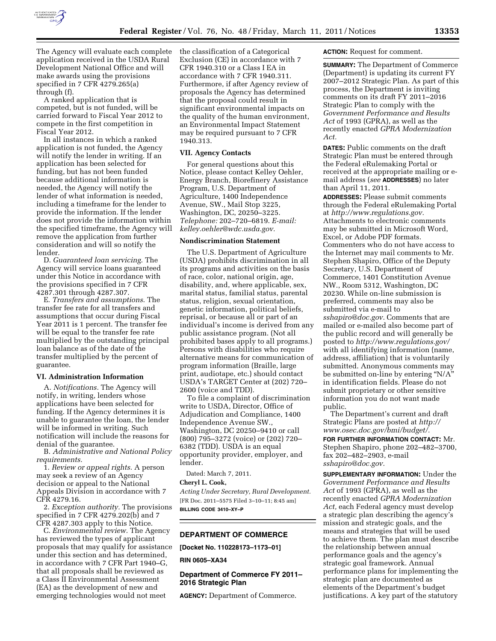

The Agency will evaluate each complete application received in the USDA Rural Development National Office and will make awards using the provisions specified in 7 CFR 4279.265(a) through (f).

A ranked application that is competed, but is not funded, will be carried forward to Fiscal Year 2012 to compete in the first competition in Fiscal Year 2012.

In all instances in which a ranked application is not funded, the Agency will notify the lender in writing. If an application has been selected for funding, but has not been funded because additional information is needed, the Agency will notify the lender of what information is needed, including a timeframe for the lender to provide the information. If the lender does not provide the information within the specified timeframe, the Agency will remove the application from further consideration and will so notify the lender.

D. *Guaranteed loan servicing*. The Agency will service loans guaranteed under this Notice in accordance with the provisions specified in 7 CFR 4287.301 through 4287.307.

E. *Transfers and assumptions*. The transfer fee rate for all transfers and assumptions that occur during Fiscal Year 2011 is 1 percent. The transfer fee will be equal to the transfer fee rate multiplied by the outstanding principal loan balance as of the date of the transfer multiplied by the percent of guarantee.

#### **VI. Administration Information**

A. *Notifications.* The Agency will notify, in writing, lenders whose applications have been selected for funding. If the Agency determines it is unable to guarantee the loan, the lender will be informed in writing. Such notification will include the reasons for denial of the guarantee.

B. *Administrative and National Policy requirements.* 

1. *Review or appeal rights.* A person may seek a review of an Agency decision or appeal to the National Appeals Division in accordance with 7 CFR 4279.16.

2. *Exception authority.* The provisions specified in 7 CFR 4279.202(b) and 7 CFR 4287.303 apply to this Notice.

C. *Environmental review.* The Agency has reviewed the types of applicant proposals that may qualify for assistance under this section and has determined, in accordance with 7 CFR Part 1940–G, that all proposals shall be reviewed as a Class II Environmental Assessment (EA) as the development of new and emerging technologies would not meet

the classification of a Categorical Exclusion (CE) in accordance with 7 CFR 1940.310 or a Class I EA in accordance with 7 CFR 1940.311. Furthermore, if after Agency review of proposals the Agency has determined that the proposal could result in significant environmental impacts on the quality of the human environment, an Environmental Impact Statement may be required pursuant to 7 CFR 1940.313.

#### **VII. Agency Contacts**

For general questions about this Notice, please contact Kelley Oehler, Energy Branch, Biorefinery Assistance Program, U.S. Department of Agriculture, 1400 Independence Avenue, SW., Mail Stop 3225, Washington, DC, 20250–3225. *Telephone:* 202–720–6819. *E-mail: [kelley.oehler@wdc.usda.gov.](mailto:kelley.oehler@wdc.usda.gov)* 

## **Nondiscrimination Statement**

The U.S. Department of Agriculture (USDA) prohibits discrimination in all its programs and activities on the basis of race, color, national origin, age, disability, and, where applicable, sex, marital status, familial status, parental status, religion, sexual orientation, genetic information, political beliefs, reprisal, or because all or part of an individual's income is derived from any public assistance program. (Not all prohibited bases apply to all programs.) Persons with disabilities who require alternative means for communication of program information (Braille, large print, audiotape, etc.) should contact USDA's TARGET Center at (202) 720– 2600 (voice and TDD).

To file a complaint of discrimination write to USDA, Director, Office of Adjudication and Compliance, 1400 Independence Avenue SW., Washington, DC 20250–9410 or call (800) 795–3272 (voice) or (202) 720– 6382 (TDD). USDA is an equal opportunity provider, employer, and lender.

Dated: March 7, 2011.

#### **Cheryl L. Cook,**

*Acting Under Secretary, Rural Development.*  [FR Doc. 2011–5575 Filed 3–10–11; 8:45 am] **BILLING CODE 3410–XY–P** 

**DEPARTMENT OF COMMERCE** 

**[Docket No. 110228173–1173–01]** 

## **RIN 0605–XA34**

# **Department of Commerce FY 2011– 2016 Strategic Plan**

**AGENCY:** Department of Commerce.

#### **ACTION:** Request for comment.

**SUMMARY:** The Department of Commerce (Department) is updating its current FY 2007–2012 Strategic Plan. As part of this process, the Department is inviting comments on its draft FY 2011–2016 Strategic Plan to comply with the *Government Performance and Results Act* of 1993 (GPRA), as well as the recently enacted *GPRA Modernization Act.* 

**DATES:** Public comments on the draft Strategic Plan must be entered through the Federal eRulemaking Portal or received at the appropriate mailing or email address (*see* **ADDRESSES**) no later than April 11, 2011.

**ADDRESSES:** Please submit comments through the Federal eRulemaking Portal at *[http://www.regulations.gov.](http://www.regulations.gov)*  Attachments to electronic comments may be submitted in Microsoft Word, Excel, or Adobe PDF formats. Commenters who do not have access to the Internet may mail comments to Mr. Stephen Shapiro, Office of the Deputy Secretary, U.S. Department of Commerce, 1401 Constitution Avenue NW., Room 5312, Washington, DC 20230. While on-line submission is preferred, comments may also be submitted via e-mail to *[sshapiro@doc.gov.](mailto:sshapiro@doc.gov)* Comments that are mailed or e-mailed also become part of the public record and will generally be posted to *<http://www.regulations.gov/>*  with all identifying information (name, address, affiliation) that is voluntarily submitted. Anonymous comments may be submitted on-line by entering "N/A" in identification fields. Please do not submit proprietary or other sensitive information you do not want made public.

The Department's current and draft Strategic Plans are posted at *[http://](http://www.osec.doc.gov/bmi/budget/)  [www.osec.doc.gov/bmi/budget/.](http://www.osec.doc.gov/bmi/budget/)* 

**FOR FURTHER INFORMATION CONTACT:** Mr. Stephen Shapiro, phone 202–482–3700, fax 202–482–2903, e-mail *[sshapiro@doc.gov.](mailto:sshapiro@doc.gov)* 

**SUPPLEMENTARY INFORMATION:** Under the *Government Performance and Results Act* of 1993 (GPRA), as well as the recently enacted *GPRA Modernization Act,* each Federal agency must develop a strategic plan describing the agency's mission and strategic goals, and the means and strategies that will be used to achieve them. The plan must describe the relationship between annual performance goals and the agency's strategic goal framework. Annual performance plans for implementing the strategic plan are documented as elements of the Department's budget justifications. A key part of the statutory